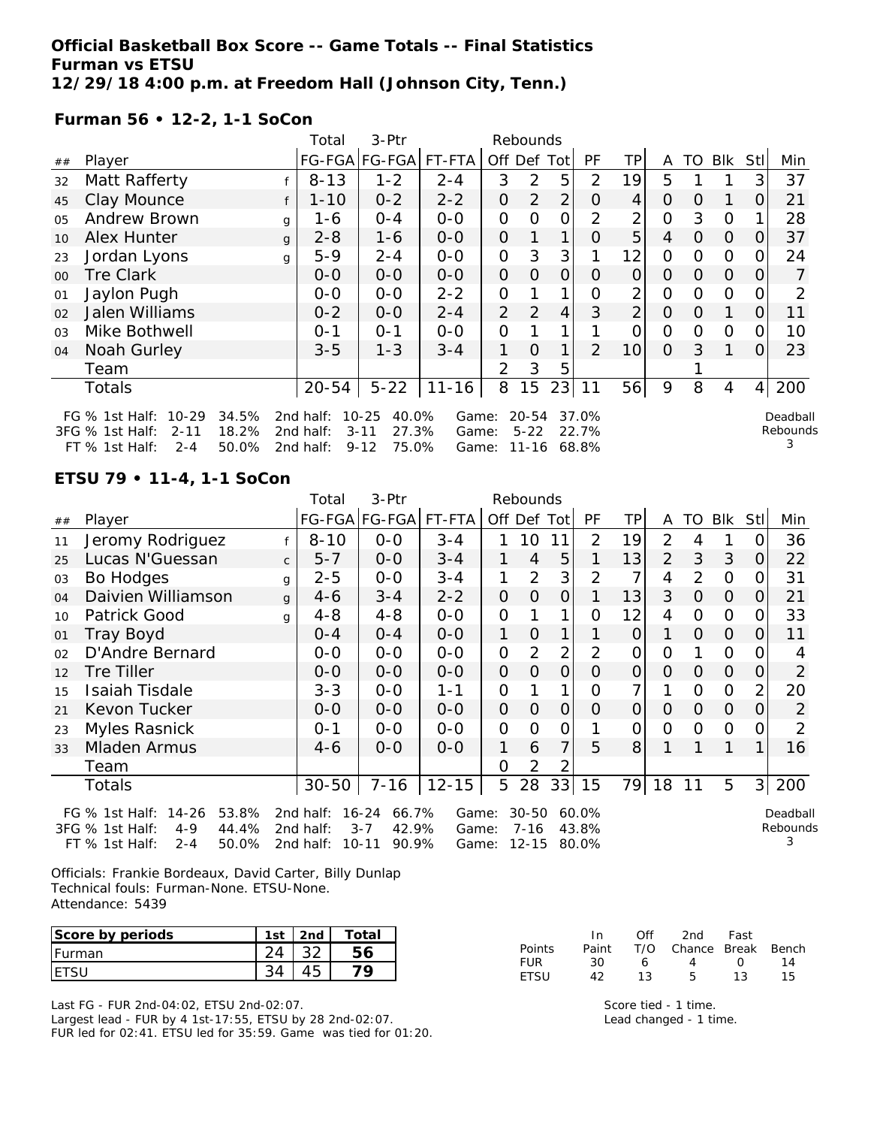**Official Basketball Box Score -- Game Totals -- Final Statistics Furman vs ETSU 12/29/18 4:00 p.m. at Freedom Hall (Johnson City, Tenn.)**

**Furman 56 • 12-2, 1-1 SoCon**

|                |                                                                                             |                         | Total                               | 3-Ptr                                                        |                         |                | Rebounds                           |                |                         |                |                |               |          |                |                           |
|----------------|---------------------------------------------------------------------------------------------|-------------------------|-------------------------------------|--------------------------------------------------------------|-------------------------|----------------|------------------------------------|----------------|-------------------------|----------------|----------------|---------------|----------|----------------|---------------------------|
| ##             | Player                                                                                      |                         | FG-FGA                              | <b>FG-FGA</b>                                                | FT-FTA                  | Off Def Tot    |                                    |                | PF                      | ΤP             | A              | TO            | Blk      | Stll           | Min                       |
| 32             | Matt Rafferty                                                                               |                         | $8 - 13$                            | $1 - 2$                                                      | $2 - 4$                 | 3              | 2                                  | 5              | 2                       | 19             | 5              |               |          | 3              | 37                        |
| 45             | Clay Mounce                                                                                 |                         | $1 - 10$                            | $0 - 2$                                                      | $2 - 2$                 | 0              | 2                                  | 2              | 0                       | 4              | $\Omega$       | $\Omega$      | 1        | 0              | 21                        |
| 0 <sub>5</sub> | Andrew Brown                                                                                |                         | 1-6<br>g                            | $0 - 4$                                                      | $0 - 0$                 | 0              | $\Omega$                           | O              | 2                       | 2              | 0              | 3             | 0        |                | 28                        |
| 10             | Alex Hunter                                                                                 |                         | $2 - 8$<br>g                        | $1 - 6$                                                      | $0-0$                   | 0              |                                    | 1              | $\Omega$                | 5              | 4              | 0             | $\Omega$ | 0              | 37                        |
| 23             | Jordan Lyons                                                                                |                         | $5 - 9$<br>g                        | $2 - 4$                                                      | $0-0$                   | 0              | 3                                  | 3              |                         | 12             | $\Omega$       | $\Omega$      | $\Omega$ | 0              | 24                        |
| $00\,$         | <b>Tre Clark</b>                                                                            |                         | $0-0$                               | $0-0$                                                        | $0-0$                   | 0              | $\overline{O}$                     | $\overline{O}$ | $\Omega$                | $\overline{O}$ | $\Omega$       | $\Omega$      | $\Omega$ | $\Omega$       | 7                         |
| 01             | Jaylon Pugh                                                                                 |                         | $0-0$                               | $0-0$                                                        | $2 - 2$                 | 0              |                                    | 1              | $\Omega$                | 2              | 0              | $\mathbf{O}$  | $\Omega$ | 0              | 2                         |
| 02             | Jalen Williams                                                                              |                         | $0 - 2$                             | $0-0$                                                        | $2 - 4$                 | $\overline{2}$ | 2                                  | 4              | 3                       | $\overline{2}$ | $\overline{O}$ | $\Omega$      |          | 0              | 11                        |
| 0 <sub>3</sub> | Mike Bothwell                                                                               |                         | $0 - 1$                             | $0 - 1$                                                      | $0-0$                   | 0              |                                    |                |                         | 0              | $\Omega$       | $\mathcal{O}$ | $\Omega$ | 0              | 10                        |
| 04             | Noah Gurley                                                                                 |                         | $3 - 5$                             | $1 - 3$                                                      | $3 - 4$                 | 1              | $\Omega$                           | 1              | $\mathcal{P}$           | 10             | $\overline{O}$ | 3             | 1        | $\Omega$       | 23                        |
|                | Team                                                                                        |                         |                                     |                                                              |                         | 2              | 3                                  | 5              |                         |                |                |               |          |                |                           |
|                | <b>Totals</b>                                                                               |                         | $20 - 54$                           | $5 - 22$                                                     | $11 - 16$               | 8              | 15                                 | 23             | 11                      | 56             | 9              | 8             | 4        | $\overline{4}$ | 200                       |
|                | FG $%$ 1st Half:<br>$10 - 29$<br>3FG % 1st Half:<br>$2 - 11$<br>$FT$ % 1st Half:<br>$2 - 4$ | 34.5%<br>18.2%<br>50.0% | 2nd half:<br>2nd half:<br>2nd half: | $10 - 25$<br>40.0%<br>27.3%<br>$3 - 11$<br>75.0%<br>$9 - 12$ | Game:<br>Game:<br>Game: |                | $20 - 54$<br>$5 - 22$<br>$11 - 16$ |                | 37.0%<br>22.7%<br>68.8% |                |                |               |          |                | Deadball<br>Rebounds<br>3 |

**ETSU 79 • 11-4, 1-1 SoCon**

|    |                                                                                                                                                                                                                                                                                                                                                   |              | Total     | 3-Ptr                |           |                |                |                |                |          |                |                |                |                  |                |
|----|---------------------------------------------------------------------------------------------------------------------------------------------------------------------------------------------------------------------------------------------------------------------------------------------------------------------------------------------------|--------------|-----------|----------------------|-----------|----------------|----------------|----------------|----------------|----------|----------------|----------------|----------------|------------------|----------------|
| ## | Player                                                                                                                                                                                                                                                                                                                                            |              |           | FG-FGA FG-FGA FT-FTA |           |                | Off Def Tot    |                | PF             | ТP       | A              | TO             | Blk            | Stl              | Min            |
| 11 | Jeromy Rodriguez                                                                                                                                                                                                                                                                                                                                  |              | $8 - 10$  | $0 - 0$              | $3 - 4$   | 1.             | 10             | 11             | 2              | 19       | 2              | 4              |                |                  | 36             |
| 25 | Lucas N'Guessan                                                                                                                                                                                                                                                                                                                                   | $\mathsf{C}$ | $5 - 7$   | $0 - 0$              | $3 - 4$   | 1              | $\overline{4}$ | 5              |                | 13       | $\overline{2}$ | 3              | 3              | O                | 22             |
| 03 | Bo Hodges                                                                                                                                                                                                                                                                                                                                         | g            | $2 - 5$   | $0 - 0$              | $3 - 4$   |                | $\overline{2}$ | 3              | $\overline{2}$ | 7        | 4              | $\overline{2}$ | $\overline{O}$ | $\left( \right)$ | 31             |
| 04 | Daivien Williamson                                                                                                                                                                                                                                                                                                                                | $\mathbf{q}$ | 4-6       | $3 - 4$              | $2 - 2$   | 0              | 0              | $\overline{O}$ |                | 13       | 3              | $\Omega$       | $\overline{0}$ | 0                | 21             |
| 10 | Patrick Good                                                                                                                                                                                                                                                                                                                                      | q            | $4 - 8$   | $4 - 8$              | $0 - 0$   | 0              |                | 1              | 0              | 12       | 4              | $\Omega$       | $\overline{O}$ | O                | 33             |
| 01 | Tray Boyd                                                                                                                                                                                                                                                                                                                                         |              | $O - 4$   | $0 - 4$              | $0 - 0$   | 1              | $\Omega$       | 1              |                | $\Omega$ | 1              | $\Omega$       | $\overline{0}$ | $\Omega$         | 11             |
| 02 | D'Andre Bernard                                                                                                                                                                                                                                                                                                                                   |              | $0-0$     | $0-0$                | $0-0$     | 0              | 2              | $\overline{2}$ | 2              | 0        | 0              |                | $\overline{O}$ |                  | 4              |
| 12 | Tre Tiller                                                                                                                                                                                                                                                                                                                                        |              | $0 - 0$   | $0-0$                | $0-0$     | 0              | 0              | $\overline{O}$ | O              | $\Omega$ | 0              | $\Omega$       | $\overline{O}$ | $\Omega$         | $\overline{2}$ |
| 15 | Isaiah Tisdale                                                                                                                                                                                                                                                                                                                                    |              | $3 - 3$   | $0-0$                | $1 - 1$   | 0              |                | 1              | Ω              | 7        |                | $\Omega$       | $\mathbf{O}$   | 2                | 20             |
| 21 | Kevon Tucker                                                                                                                                                                                                                                                                                                                                      |              | $O-O$     | $0 - 0$              | $0 - 0$   | 0              | $\Omega$       | $\overline{O}$ | 0              | $\Omega$ | 0              | $\Omega$       | $\Omega$       | $\Omega$         | $\overline{2}$ |
| 23 | Myles Rasnick                                                                                                                                                                                                                                                                                                                                     |              | $0 - 1$   | $0 - 0$              | $0 - 0$   | $\overline{O}$ | 0              | 0              |                | 0        | 0              | $\Omega$       | $\Omega$       |                  | 2              |
| 33 | Mladen Armus                                                                                                                                                                                                                                                                                                                                      |              | $4-6$     | $0 - 0$              | $0 - 0$   | 1.             | 6              | 7              | 5              | 8        |                |                |                |                  | 16             |
|    | Team                                                                                                                                                                                                                                                                                                                                              |              |           |                      |           | 0              | 2              | 2              |                |          |                |                |                |                  |                |
|    | Totals                                                                                                                                                                                                                                                                                                                                            |              | $30 - 50$ | $7 - 16$             | $12 - 15$ | 5              | 28             | 33             | 15             | 79       | 18             | 11             | 5              | 3 <sup>1</sup>   | 200            |
|    | $14 - 26$<br>53.8%<br>2nd half:<br>16-24<br>66.7%<br>$30 - 50$<br>60.0%<br>FG $%$ 1st Half:<br>Game:<br>Deadball<br>Rebounds<br>3FG % 1st Half:<br>42.9%<br>$4 - 9$<br>44.4%<br>2nd half:<br>$3 - 7$<br>43.8%<br>Game:<br>7-16<br>2nd half: $10-11$<br>$2 - A$<br>50.0%<br>0000<br>Gamo <sup>.</sup><br>12.15 RO 0%<br>$FT \,$ % 1ct Half $\cdot$ |              |           |                      |           |                |                |                |                |          |                |                |                |                  |                |

Officials: Frankie Bordeaux, David Carter, Billy Dunlap Technical fouls: Furman-None. ETSU-None. Attendance: 5439

FT % 1st Half: 2-4 50.0% 2nd half: 10-11 90.9% Game: 12-15 80.0%

| Score by periods | $1c+$ | 2nd | Total. |
|------------------|-------|-----|--------|
| Furman           |       |     |        |
|                  |       |     |        |

Last FG - FUR 2nd-04:02, ETSU 2nd-02:07.

Largest lead - FUR by 4 1st-17:55, ETSU by 28 2nd-02:07. FUR led for 02:41. ETSU led for 35:59. Game was tied for 01:20.

|             | In.   | ∩ff | 2nd                    | Fast        |     |
|-------------|-------|-----|------------------------|-------------|-----|
| Points      | Paint |     | T/O Chance Break Bench |             |     |
| FUR         | 30    | 6   | 4                      | $^{\prime}$ | 14  |
| <b>FTSU</b> | 42    | 13  | Б.                     | 13          | 15. |

Score tied - 1 time. Lead changed - 1 time.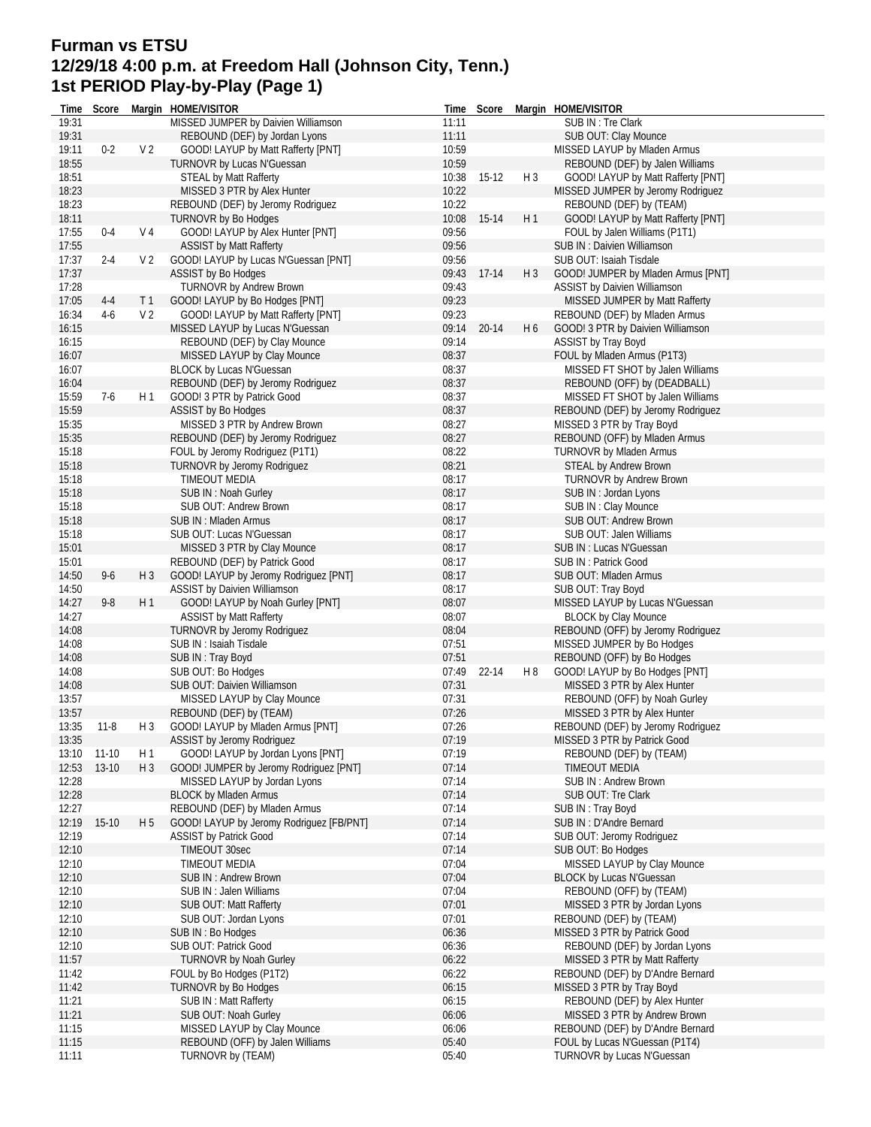## **Furman vs ETSU 12/29/18 4:00 p.m. at Freedom Hall (Johnson City, Tenn.) 1st PERIOD Play-by-Play (Page 1)**

| Time           | Score          |                                  | Margin HOME/VISITOR                                                  |                | Time Score  |                | Margin HOME/VISITOR                                             |
|----------------|----------------|----------------------------------|----------------------------------------------------------------------|----------------|-------------|----------------|-----------------------------------------------------------------|
| 19:31          |                |                                  | MISSED JUMPER by Daivien Williamson                                  | 11:11          |             |                | SUB IN : Tre Clark                                              |
| 19:31          |                |                                  | REBOUND (DEF) by Jordan Lyons                                        | 11:11          |             |                | SUB OUT: Clay Mounce                                            |
| 19:11          | $0 - 2$        | V <sub>2</sub>                   | GOOD! LAYUP by Matt Rafferty [PNT]                                   | 10:59          |             |                | MISSED LAYUP by Mladen Armus                                    |
| 18:55          |                |                                  | TURNOVR by Lucas N'Guessan                                           | 10:59          |             |                | REBOUND (DEF) by Jalen Williams                                 |
| 18:51          |                |                                  | <b>STEAL by Matt Rafferty</b>                                        | 10:38          | 15-12       | $H_3$          | GOOD! LAYUP by Matt Rafferty [PNT]                              |
| 18:23          |                |                                  | MISSED 3 PTR by Alex Hunter                                          | 10:22          |             |                | MISSED JUMPER by Jeromy Rodriguez                               |
| 18:23          |                |                                  | REBOUND (DEF) by Jeromy Rodriguez                                    | 10:22          |             |                | REBOUND (DEF) by (TEAM)                                         |
| 18:11          |                |                                  | <b>TURNOVR by Bo Hodges</b>                                          | 10:08          | 15-14       | H1             | GOOD! LAYUP by Matt Rafferty [PNT]                              |
| 17:55          | $0 - 4$        | V <sub>4</sub>                   | GOOD! LAYUP by Alex Hunter [PNT]                                     | 09:56          |             |                | FOUL by Jalen Williams (P1T1)                                   |
| 17:55          |                |                                  | <b>ASSIST by Matt Rafferty</b>                                       | 09:56          |             |                | SUB IN: Daivien Williamson                                      |
| 17:37          | $2 - 4$        | V <sub>2</sub>                   | GOOD! LAYUP by Lucas N'Guessan [PNT]                                 | 09:56          |             |                | SUB OUT: Isaiah Tisdale                                         |
| 17:37          |                |                                  | <b>ASSIST by Bo Hodges</b>                                           |                | 09:43 17-14 | H <sub>3</sub> | GOOD! JUMPER by Mladen Armus [PNT]                              |
| 17:28          |                |                                  | <b>TURNOVR by Andrew Brown</b>                                       | 09:43          |             |                | <b>ASSIST by Daivien Williamson</b>                             |
| 17:05<br>16:34 | $4-4$<br>$4-6$ | T <sub>1</sub><br>V <sub>2</sub> | GOOD! LAYUP by Bo Hodges [PNT]<br>GOOD! LAYUP by Matt Rafferty [PNT] | 09:23<br>09:23 |             |                | MISSED JUMPER by Matt Rafferty                                  |
| 16:15          |                |                                  |                                                                      | 09:14          | 20-14       | H6             | REBOUND (DEF) by Mladen Armus                                   |
| 16:15          |                |                                  | MISSED LAYUP by Lucas N'Guessan<br>REBOUND (DEF) by Clay Mounce      | 09:14          |             |                | GOOD! 3 PTR by Daivien Williamson<br><b>ASSIST by Tray Boyd</b> |
| 16:07          |                |                                  | MISSED LAYUP by Clay Mounce                                          | 08:37          |             |                | FOUL by Mladen Armus (P1T3)                                     |
| 16:07          |                |                                  | <b>BLOCK by Lucas N'Guessan</b>                                      | 08:37          |             |                | MISSED FT SHOT by Jalen Williams                                |
| 16:04          |                |                                  | REBOUND (DEF) by Jeromy Rodriguez                                    | 08:37          |             |                | REBOUND (OFF) by (DEADBALL)                                     |
| 15:59          | $7-6$          | H 1                              | GOOD! 3 PTR by Patrick Good                                          | 08:37          |             |                | MISSED FT SHOT by Jalen Williams                                |
| 15:59          |                |                                  | <b>ASSIST by Bo Hodges</b>                                           | 08:37          |             |                | REBOUND (DEF) by Jeromy Rodriguez                               |
| 15:35          |                |                                  | MISSED 3 PTR by Andrew Brown                                         | 08:27          |             |                | MISSED 3 PTR by Tray Boyd                                       |
| 15:35          |                |                                  | REBOUND (DEF) by Jeromy Rodriguez                                    | 08:27          |             |                | REBOUND (OFF) by Mladen Armus                                   |
| 15:18          |                |                                  | FOUL by Jeromy Rodriguez (P1T1)                                      | 08:22          |             |                | TURNOVR by Mladen Armus                                         |
| 15:18          |                |                                  | TURNOVR by Jeromy Rodriguez                                          | 08:21          |             |                | STEAL by Andrew Brown                                           |
| 15:18          |                |                                  | <b>TIMEOUT MEDIA</b>                                                 | 08:17          |             |                | TURNOVR by Andrew Brown                                         |
| 15:18          |                |                                  | SUB IN: Noah Gurley                                                  | 08:17          |             |                | SUB IN: Jordan Lyons                                            |
| 15:18          |                |                                  | SUB OUT: Andrew Brown                                                | 08:17          |             |                | SUB IN: Clay Mounce                                             |
| 15:18          |                |                                  | SUB IN: Mladen Armus                                                 | 08:17          |             |                | SUB OUT: Andrew Brown                                           |
| 15:18          |                |                                  | SUB OUT: Lucas N'Guessan                                             | 08:17          |             |                | SUB OUT: Jalen Williams                                         |
| 15:01          |                |                                  | MISSED 3 PTR by Clay Mounce                                          | 08:17          |             |                | SUB IN : Lucas N'Guessan                                        |
| 15:01          |                |                                  | REBOUND (DEF) by Patrick Good                                        | 08:17          |             |                | SUB IN: Patrick Good                                            |
| 14:50          | $9 - 6$        | H <sub>3</sub>                   | GOOD! LAYUP by Jeromy Rodriguez [PNT]                                | 08:17          |             |                | SUB OUT: Mladen Armus                                           |
| 14:50          |                |                                  | <b>ASSIST by Daivien Williamson</b>                                  | 08:17          |             |                | SUB OUT: Tray Boyd                                              |
| 14:27          | $9 - 8$        | H 1                              | GOOD! LAYUP by Noah Gurley [PNT]                                     | 08:07          |             |                | MISSED LAYUP by Lucas N'Guessan                                 |
| 14:27          |                |                                  | <b>ASSIST by Matt Rafferty</b>                                       | 08:07          |             |                | <b>BLOCK by Clay Mounce</b>                                     |
| 14:08          |                |                                  | TURNOVR by Jeromy Rodriguez                                          | 08:04          |             |                | REBOUND (OFF) by Jeromy Rodriguez                               |
| 14:08          |                |                                  | SUB IN : Isaiah Tisdale                                              | 07:51          |             |                | MISSED JUMPER by Bo Hodges                                      |
| 14:08          |                |                                  | SUB IN: Tray Boyd                                                    | 07:51          |             |                | REBOUND (OFF) by Bo Hodges                                      |
| 14:08          |                |                                  | SUB OUT: Bo Hodges                                                   | 07:49          | 22-14       | H 8            | GOOD! LAYUP by Bo Hodges [PNT]                                  |
| 14:08          |                |                                  | SUB OUT: Daivien Williamson                                          | 07:31          |             |                | MISSED 3 PTR by Alex Hunter                                     |
| 13:57          |                |                                  | MISSED LAYUP by Clay Mounce                                          | 07:31          |             |                | REBOUND (OFF) by Noah Gurley                                    |
| 13:57          |                |                                  | REBOUND (DEF) by (TEAM)                                              | 07:26          |             |                | MISSED 3 PTR by Alex Hunter                                     |
| 13:35          | $11-8$         | H 3                              | GOOD! LAYUP by Mladen Armus [PNT]                                    | 07:26          |             |                | REBOUND (DEF) by Jeromy Rodriguez                               |
| 13:35          |                |                                  | ASSIST by Jeromy Rodriguez                                           | 07:19          |             |                | MISSED 3 PTR by Patrick Good                                    |
| 13:10          | 11-10          | H 1                              | GOOD! LAYUP by Jordan Lyons [PNT]                                    | 07:19          |             |                | REBOUND (DEF) by (TEAM)                                         |
| 12:53          | $13-10$        | $H_3$                            | GOOD! JUMPER by Jeromy Rodriguez [PNT]                               | 07:14          |             |                | <b>TIMEOUT MEDIA</b>                                            |
| 12:28          |                |                                  | MISSED LAYUP by Jordan Lyons                                         | 07:14          |             |                | <b>SUB IN: Andrew Brown</b>                                     |
| 12:28          |                |                                  | <b>BLOCK by Mladen Armus</b>                                         | 07:14          |             |                | SUB OUT: Tre Clark                                              |
| 12:27          |                |                                  | REBOUND (DEF) by Mladen Armus                                        | 07:14          |             |                | SUB IN: Tray Boyd                                               |
| 12:19          | $15-10$        | H 5                              | GOOD! LAYUP by Jeromy Rodriguez [FB/PNT]                             | 07:14          |             |                | SUB IN : D'Andre Bernard                                        |
| 12:19          |                |                                  | <b>ASSIST by Patrick Good</b>                                        | 07:14          |             |                | SUB OUT: Jeromy Rodriguez                                       |
| 12:10          |                |                                  | TIMEOUT 30sec                                                        | 07:14          |             |                | SUB OUT: Bo Hodges                                              |
| 12:10<br>12:10 |                |                                  | TIMEOUT MEDIA<br>SUB IN: Andrew Brown                                | 07:04<br>07:04 |             |                | MISSED LAYUP by Clay Mounce<br><b>BLOCK by Lucas N'Guessan</b>  |
| 12:10          |                |                                  | SUB IN: Jalen Williams                                               | 07:04          |             |                | REBOUND (OFF) by (TEAM)                                         |
| 12:10          |                |                                  | SUB OUT: Matt Rafferty                                               | 07:01          |             |                | MISSED 3 PTR by Jordan Lyons                                    |
| 12:10          |                |                                  | SUB OUT: Jordan Lyons                                                | 07:01          |             |                | REBOUND (DEF) by (TEAM)                                         |
| 12:10          |                |                                  | SUB IN: Bo Hodges                                                    | 06:36          |             |                | MISSED 3 PTR by Patrick Good                                    |
| 12:10          |                |                                  | SUB OUT: Patrick Good                                                | 06:36          |             |                | REBOUND (DEF) by Jordan Lyons                                   |
| 11:57          |                |                                  | <b>TURNOVR by Noah Gurley</b>                                        | 06:22          |             |                | MISSED 3 PTR by Matt Rafferty                                   |
| 11:42          |                |                                  | FOUL by Bo Hodges (P1T2)                                             | 06:22          |             |                | REBOUND (DEF) by D'Andre Bernard                                |
| 11:42          |                |                                  | TURNOVR by Bo Hodges                                                 | 06:15          |             |                | MISSED 3 PTR by Tray Boyd                                       |
| 11:21          |                |                                  | SUB IN: Matt Rafferty                                                | 06:15          |             |                | REBOUND (DEF) by Alex Hunter                                    |
| 11:21          |                |                                  | SUB OUT: Noah Gurley                                                 | 06:06          |             |                | MISSED 3 PTR by Andrew Brown                                    |
| 11:15          |                |                                  | MISSED LAYUP by Clay Mounce                                          | 06:06          |             |                | REBOUND (DEF) by D'Andre Bernard                                |
| 11:15          |                |                                  | REBOUND (OFF) by Jalen Williams                                      | 05:40          |             |                | FOUL by Lucas N'Guessan (P1T4)                                  |
| 11:11          |                |                                  | TURNOVR by (TEAM)                                                    | 05:40          |             |                | TURNOVR by Lucas N'Guessan                                      |
|                |                |                                  |                                                                      |                |             |                |                                                                 |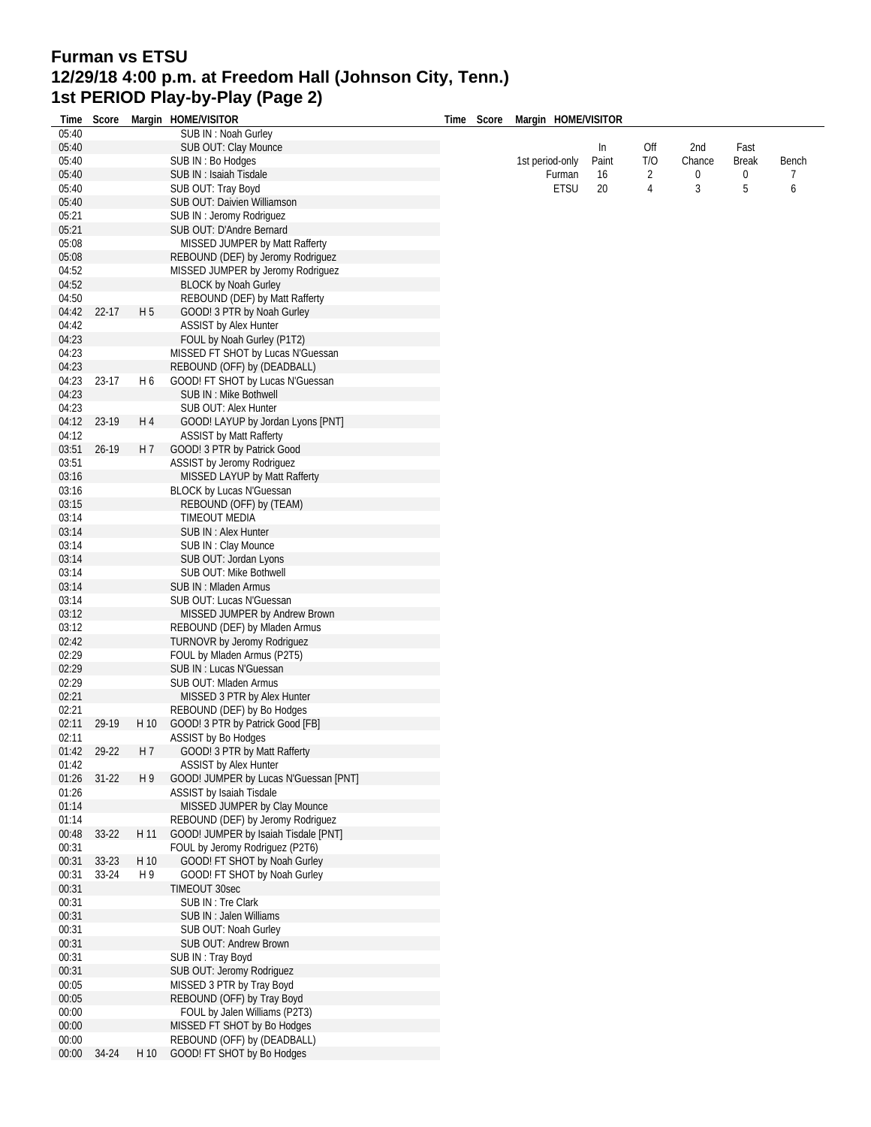## **Furman vs ETSU 12/29/18 4:00 p.m. at Freedom Hall (Johnson City, Tenn.) 1st PERIOD Play-by-Play (Page 2)**

|                | Time Score |      | Margin HOME/VISITOR                                                       | Time Score | Margin HOME/VISITOR |       |     |        |       |       |
|----------------|------------|------|---------------------------------------------------------------------------|------------|---------------------|-------|-----|--------|-------|-------|
| 05:40          |            |      | SUB IN: Noah Gurley                                                       |            |                     |       |     |        |       |       |
| 05:40          |            |      | SUB OUT: Clay Mounce                                                      |            |                     | In    | Off | 2nd    | Fast  |       |
| 05:40          |            |      | SUB IN: Bo Hodges                                                         |            | 1st period-only     | Paint | T/O | Chance | Break | Bench |
| 05:40          |            |      | SUB IN : Isaiah Tisdale                                                   |            | Furman              | 16    | 2   | 0      | 0     | 7     |
| 05:40          |            |      | SUB OUT: Tray Boyd                                                        |            | <b>ETSU</b>         | 20    | 4   | 3      | 5     | 6     |
| 05:40<br>05:21 |            |      | SUB OUT: Daivien Williamson<br>SUB IN : Jeromy Rodriguez                  |            |                     |       |     |        |       |       |
| 05:21          |            |      | SUB OUT: D'Andre Bernard                                                  |            |                     |       |     |        |       |       |
| 05:08          |            |      | MISSED JUMPER by Matt Rafferty                                            |            |                     |       |     |        |       |       |
| 05:08          |            |      | REBOUND (DEF) by Jeromy Rodriguez                                         |            |                     |       |     |        |       |       |
| 04:52          |            |      | MISSED JUMPER by Jeromy Rodriguez                                         |            |                     |       |     |        |       |       |
| 04:52          |            |      | <b>BLOCK by Noah Gurley</b>                                               |            |                     |       |     |        |       |       |
| 04:50          |            |      | REBOUND (DEF) by Matt Rafferty                                            |            |                     |       |     |        |       |       |
| 04:42          | 22-17      | H 5  | GOOD! 3 PTR by Noah Gurley                                                |            |                     |       |     |        |       |       |
| 04:42          |            |      | <b>ASSIST by Alex Hunter</b>                                              |            |                     |       |     |        |       |       |
| 04:23<br>04:23 |            |      | FOUL by Noah Gurley (P1T2)<br>MISSED FT SHOT by Lucas N'Guessan           |            |                     |       |     |        |       |       |
| 04:23          |            |      | REBOUND (OFF) by (DEADBALL)                                               |            |                     |       |     |        |       |       |
| 04:23          | 23-17      | H 6  | GOOD! FT SHOT by Lucas N'Guessan                                          |            |                     |       |     |        |       |       |
| 04:23          |            |      | SUB IN : Mike Bothwell                                                    |            |                     |       |     |        |       |       |
| 04:23          |            |      | SUB OUT: Alex Hunter                                                      |            |                     |       |     |        |       |       |
| 04:12          | 23-19      | H 4  | GOOD! LAYUP by Jordan Lyons [PNT]                                         |            |                     |       |     |        |       |       |
| 04:12          |            |      | <b>ASSIST by Matt Rafferty</b>                                            |            |                     |       |     |        |       |       |
| 03:51          | 26-19      | H 7  | GOOD! 3 PTR by Patrick Good                                               |            |                     |       |     |        |       |       |
| 03:51<br>03:16 |            |      | ASSIST by Jeromy Rodriguez                                                |            |                     |       |     |        |       |       |
| 03:16          |            |      | MISSED LAYUP by Matt Rafferty<br>BLOCK by Lucas N'Guessan                 |            |                     |       |     |        |       |       |
| 03:15          |            |      | REBOUND (OFF) by (TEAM)                                                   |            |                     |       |     |        |       |       |
| 03:14          |            |      | <b>TIMEOUT MEDIA</b>                                                      |            |                     |       |     |        |       |       |
| 03:14          |            |      | SUB IN : Alex Hunter                                                      |            |                     |       |     |        |       |       |
| 03:14          |            |      | SUB IN: Clay Mounce                                                       |            |                     |       |     |        |       |       |
| 03:14          |            |      | SUB OUT: Jordan Lyons                                                     |            |                     |       |     |        |       |       |
| 03:14          |            |      | SUB OUT: Mike Bothwell                                                    |            |                     |       |     |        |       |       |
| 03:14          |            |      | SUB IN: Mladen Armus                                                      |            |                     |       |     |        |       |       |
| 03:14<br>03:12 |            |      | SUB OUT: Lucas N'Guessan<br>MISSED JUMPER by Andrew Brown                 |            |                     |       |     |        |       |       |
| 03:12          |            |      | REBOUND (DEF) by Mladen Armus                                             |            |                     |       |     |        |       |       |
| 02:42          |            |      | TURNOVR by Jeromy Rodriguez                                               |            |                     |       |     |        |       |       |
| 02:29          |            |      | FOUL by Mladen Armus (P2T5)                                               |            |                     |       |     |        |       |       |
| 02:29          |            |      | SUB IN : Lucas N'Guessan                                                  |            |                     |       |     |        |       |       |
| 02:29          |            |      | SUB OUT: Mladen Armus                                                     |            |                     |       |     |        |       |       |
| 02:21          |            |      | MISSED 3 PTR by Alex Hunter                                               |            |                     |       |     |        |       |       |
| 02:21<br>02:11 | 29-19      | H 10 | REBOUND (DEF) by Bo Hodges<br>GOOD! 3 PTR by Patrick Good [FB]            |            |                     |       |     |        |       |       |
| 02:11          |            |      | ASSIST by Bo Hodges                                                       |            |                     |       |     |        |       |       |
| 01:42          | 29-22      | H 7  | GOOD! 3 PTR by Matt Rafferty                                              |            |                     |       |     |        |       |       |
| 01:42          |            |      | <b>ASSIST by Alex Hunter</b>                                              |            |                     |       |     |        |       |       |
| 01:26          | $31 - 22$  | H 9  | GOOD! JUMPER by Lucas N'Guessan [PNT]                                     |            |                     |       |     |        |       |       |
| 01:26          |            |      | ASSIST by Isaiah Tisdale                                                  |            |                     |       |     |        |       |       |
| 01:14          |            |      | MISSED JUMPER by Clay Mounce                                              |            |                     |       |     |        |       |       |
| 01:14<br>00:48 | 33-22      | H 11 | REBOUND (DEF) by Jeromy Rodriguez<br>GOOD! JUMPER by Isaiah Tisdale [PNT] |            |                     |       |     |        |       |       |
| 00:31          |            |      | FOUL by Jeromy Rodriguez (P2T6)                                           |            |                     |       |     |        |       |       |
| 00:31          | 33-23      | H 10 | GOOD! FT SHOT by Noah Gurley                                              |            |                     |       |     |        |       |       |
| 00:31          | 33-24      | H 9  | GOOD! FT SHOT by Noah Gurley                                              |            |                     |       |     |        |       |       |
| 00:31          |            |      | TIMEOUT 30sec                                                             |            |                     |       |     |        |       |       |
| 00:31          |            |      | SUB IN: Tre Clark                                                         |            |                     |       |     |        |       |       |
| 00:31          |            |      | SUB IN: Jalen Williams                                                    |            |                     |       |     |        |       |       |
| 00:31          |            |      | SUB OUT: Noah Gurley                                                      |            |                     |       |     |        |       |       |
| 00:31          |            |      | SUB OUT: Andrew Brown                                                     |            |                     |       |     |        |       |       |
| 00:31<br>00:31 |            |      | SUB IN: Tray Boyd<br>SUB OUT: Jeromy Rodriguez                            |            |                     |       |     |        |       |       |
| 00:05          |            |      | MISSED 3 PTR by Tray Boyd                                                 |            |                     |       |     |        |       |       |
| 00:05          |            |      | REBOUND (OFF) by Tray Boyd                                                |            |                     |       |     |        |       |       |
| 00:00          |            |      | FOUL by Jalen Williams (P2T3)                                             |            |                     |       |     |        |       |       |
| 00:00          |            |      | MISSED FT SHOT by Bo Hodges                                               |            |                     |       |     |        |       |       |
| 00:00          |            |      | REBOUND (OFF) by (DEADBALL)                                               |            |                     |       |     |        |       |       |
| 00:00          | 34-24      | H 10 | GOOD! FT SHOT by Bo Hodges                                                |            |                     |       |     |        |       |       |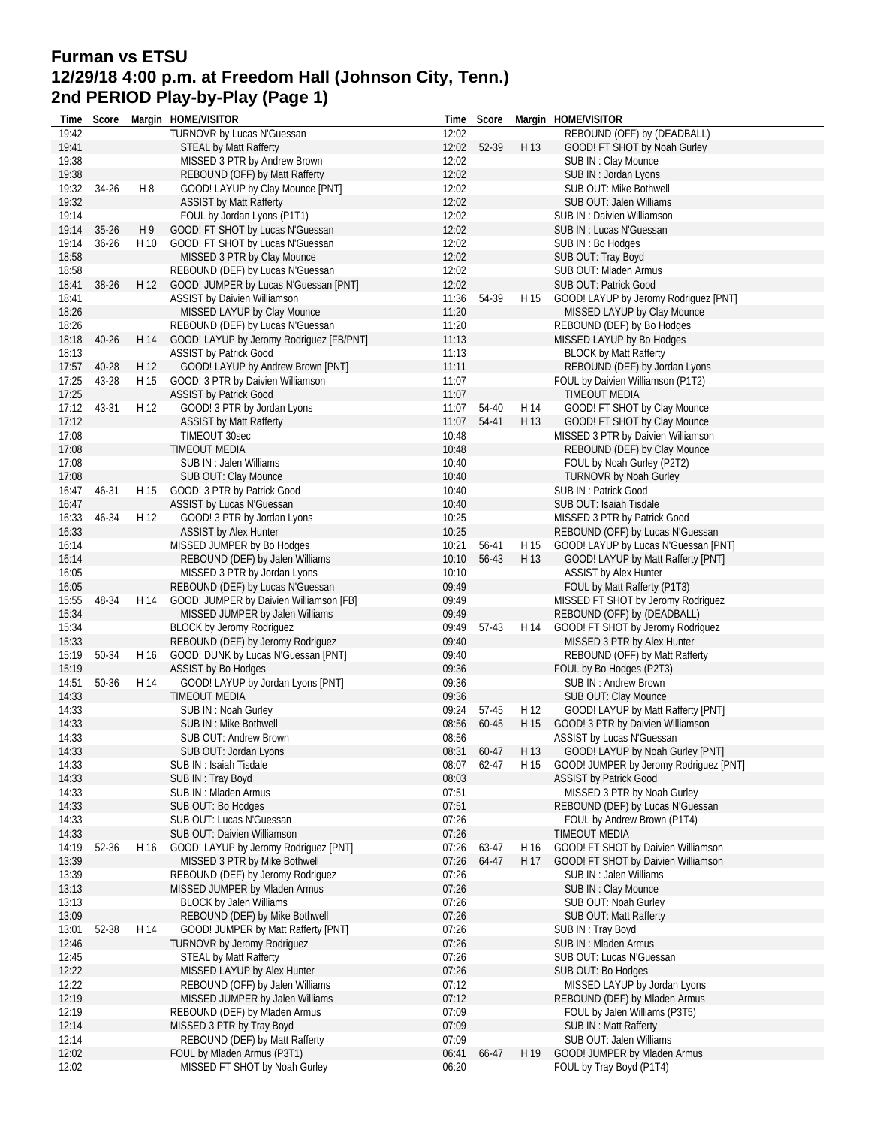## **Furman vs ETSU 12/29/18 4:00 p.m. at Freedom Hall (Johnson City, Tenn.) 2nd PERIOD Play-by-Play (Page 1)**

| Time           | Score     |      | Margin HOME/VISITOR                                                       |                | Time Score  |      | Margin HOME/VISITOR                                           |
|----------------|-----------|------|---------------------------------------------------------------------------|----------------|-------------|------|---------------------------------------------------------------|
| 19:42          |           |      | TURNOVR by Lucas N'Guessan                                                | 12:02          |             |      | REBOUND (OFF) by (DEADBALL)                                   |
| 19:41          |           |      | <b>STEAL by Matt Rafferty</b>                                             | 12:02          | 52-39       | H 13 | GOOD! FT SHOT by Noah Gurley                                  |
| 19:38          |           |      | MISSED 3 PTR by Andrew Brown                                              | 12:02          |             |      | SUB IN: Clay Mounce                                           |
| 19:38          |           |      | REBOUND (OFF) by Matt Rafferty                                            | 12:02          |             |      | SUB IN: Jordan Lyons                                          |
| 19:32          | 34-26     | H 8  | GOOD! LAYUP by Clay Mounce [PNT]                                          | 12:02          |             |      | SUB OUT: Mike Bothwell                                        |
| 19:32          |           |      | <b>ASSIST by Matt Rafferty</b>                                            | 12:02          |             |      | SUB OUT: Jalen Williams                                       |
| 19:14          |           |      | FOUL by Jordan Lyons (P1T1)                                               | 12:02          |             |      | SUB IN: Daivien Williamson                                    |
| 19:14          | $35 - 26$ | H9   | GOOD! FT SHOT by Lucas N'Guessan                                          | 12:02          |             |      | SUB IN : Lucas N'Guessan                                      |
| 19:14          | $36 - 26$ | H 10 | GOOD! FT SHOT by Lucas N'Guessan                                          | 12:02          |             |      | SUB IN: Bo Hodges                                             |
| 18:58<br>18:58 |           |      | MISSED 3 PTR by Clay Mounce                                               | 12:02<br>12:02 |             |      | SUB OUT: Tray Boyd<br>SUB OUT: Mladen Armus                   |
| 18:41          | 38-26     | H 12 | REBOUND (DEF) by Lucas N'Guessan<br>GOOD! JUMPER by Lucas N'Guessan [PNT] | 12:02          |             |      | SUB OUT: Patrick Good                                         |
| 18:41          |           |      | <b>ASSIST by Daivien Williamson</b>                                       | 11:36          | 54-39       | H 15 | GOOD! LAYUP by Jeromy Rodriguez [PNT]                         |
| 18:26          |           |      | MISSED LAYUP by Clay Mounce                                               | 11:20          |             |      | MISSED LAYUP by Clay Mounce                                   |
| 18:26          |           |      | REBOUND (DEF) by Lucas N'Guessan                                          | 11:20          |             |      | REBOUND (DEF) by Bo Hodges                                    |
| 18:18          | 40-26     | H 14 | GOOD! LAYUP by Jeromy Rodriguez [FB/PNT]                                  | 11:13          |             |      | MISSED LAYUP by Bo Hodges                                     |
| 18:13          |           |      | <b>ASSIST by Patrick Good</b>                                             | 11:13          |             |      | <b>BLOCK by Matt Rafferty</b>                                 |
| 17:57          | 40-28     | H 12 | GOOD! LAYUP by Andrew Brown [PNT]                                         | 11:11          |             |      | REBOUND (DEF) by Jordan Lyons                                 |
| 17:25          | 43-28     | H 15 | GOOD! 3 PTR by Daivien Williamson                                         | 11:07          |             |      | FOUL by Daivien Williamson (P1T2)                             |
| 17:25          |           |      | <b>ASSIST by Patrick Good</b>                                             | 11:07          |             |      | <b>TIMEOUT MEDIA</b>                                          |
| 17:12          | 43-31     | H 12 | GOOD! 3 PTR by Jordan Lyons                                               | 11:07          | 54-40       | H 14 | GOOD! FT SHOT by Clay Mounce                                  |
| 17:12          |           |      | <b>ASSIST by Matt Rafferty</b>                                            | 11:07          | 54-41       | H 13 | GOOD! FT SHOT by Clay Mounce                                  |
| 17:08          |           |      | TIMEOUT 30sec                                                             | 10:48          |             |      | MISSED 3 PTR by Daivien Williamson                            |
| 17:08          |           |      | TIMEOUT MEDIA                                                             | 10:48          |             |      | REBOUND (DEF) by Clay Mounce                                  |
| 17:08          |           |      | SUB IN: Jalen Williams                                                    | 10:40          |             |      | FOUL by Noah Gurley (P2T2)                                    |
| 17:08          |           |      | SUB OUT: Clay Mounce                                                      | 10:40          |             |      | TURNOVR by Noah Gurley                                        |
| 16:47          | 46-31     | H 15 | GOOD! 3 PTR by Patrick Good                                               | 10:40          |             |      | SUB IN: Patrick Good                                          |
| 16:47          |           |      | <b>ASSIST by Lucas N'Guessan</b>                                          | 10:40          |             |      | SUB OUT: Isaiah Tisdale                                       |
| 16:33          | 46-34     | H 12 | GOOD! 3 PTR by Jordan Lyons                                               | 10:25          |             |      | MISSED 3 PTR by Patrick Good                                  |
| 16:33          |           |      | <b>ASSIST by Alex Hunter</b>                                              | 10:25          |             |      | REBOUND (OFF) by Lucas N'Guessan                              |
| 16:14          |           |      | MISSED JUMPER by Bo Hodges                                                | 10:21          | 56-41       | H 15 | GOOD! LAYUP by Lucas N'Guessan [PNT]                          |
| 16:14          |           |      | REBOUND (DEF) by Jalen Williams                                           | 10:10          | 56-43       | H 13 | GOOD! LAYUP by Matt Rafferty [PNT]                            |
| 16:05          |           |      | MISSED 3 PTR by Jordan Lyons                                              | 10:10          |             |      | ASSIST by Alex Hunter                                         |
| 16:05          |           |      | REBOUND (DEF) by Lucas N'Guessan                                          | 09:49          |             |      | FOUL by Matt Rafferty (P1T3)                                  |
| 15:55          | 48-34     | H 14 | GOOD! JUMPER by Daivien Williamson [FB]                                   | 09:49          |             |      | MISSED FT SHOT by Jeromy Rodriguez                            |
| 15:34          |           |      | MISSED JUMPER by Jalen Williams                                           | 09:49          |             |      | REBOUND (OFF) by (DEADBALL)                                   |
| 15:34          |           |      | BLOCK by Jeromy Rodriguez                                                 | 09:49          | 57-43       | H 14 | GOOD! FT SHOT by Jeromy Rodriguez                             |
| 15:33<br>15:19 |           | H 16 | REBOUND (DEF) by Jeromy Rodriguez                                         | 09:40<br>09:40 |             |      | MISSED 3 PTR by Alex Hunter<br>REBOUND (OFF) by Matt Rafferty |
| 15:19          | 50-34     |      | GOOD! DUNK by Lucas N'Guessan [PNT]<br>ASSIST by Bo Hodges                | 09:36          |             |      | FOUL by Bo Hodges (P2T3)                                      |
| 14:51          | 50-36     | H 14 | GOOD! LAYUP by Jordan Lyons [PNT]                                         | 09:36          |             |      | SUB IN: Andrew Brown                                          |
| 14:33          |           |      | TIMEOUT MEDIA                                                             | 09:36          |             |      | SUB OUT: Clay Mounce                                          |
| 14:33          |           |      | SUB IN: Noah Gurley                                                       | 09:24          | 57-45       | H 12 | GOOD! LAYUP by Matt Rafferty [PNT]                            |
| 14:33          |           |      | SUB IN : Mike Bothwell                                                    | 08:56          | 60-45       | H 15 | GOOD! 3 PTR by Daivien Williamson                             |
| 14:33          |           |      | <b>SUB OUT: Andrew Brown</b>                                              | 08:56          |             |      | ASSIST by Lucas N'Guessan                                     |
| 14:33          |           |      | SUB OUT: Jordan Lyons                                                     |                | 08:31 60-47 |      | H 13 GOOD! LAYUP by Noah Gurley [PNT]                         |
| 14:33          |           |      | SUB IN : Isaiah Tisdale                                                   |                | 08:07 62-47 |      | H 15 GOOD! JUMPER by Jeromy Rodriguez [PNT]                   |
| 14:33          |           |      | SUB IN: Tray Boyd                                                         | 08:03          |             |      | <b>ASSIST by Patrick Good</b>                                 |
| 14:33          |           |      | SUB IN: Mladen Armus                                                      | 07:51          |             |      | MISSED 3 PTR by Noah Gurley                                   |
| 14:33          |           |      | SUB OUT: Bo Hodges                                                        | 07:51          |             |      | REBOUND (DEF) by Lucas N'Guessan                              |
| 14:33          |           |      | SUB OUT: Lucas N'Guessan                                                  | 07:26          |             |      | FOUL by Andrew Brown (P1T4)                                   |
| 14:33          |           |      | SUB OUT: Daivien Williamson                                               | 07:26          |             |      | <b>TIMEOUT MEDIA</b>                                          |
| 14:19          | 52-36     | H 16 | GOOD! LAYUP by Jeromy Rodriguez [PNT]                                     | 07:26          | 63-47       | H 16 | GOOD! FT SHOT by Daivien Williamson                           |
| 13:39          |           |      | MISSED 3 PTR by Mike Bothwell                                             | 07:26          | 64-47       | H 17 | GOOD! FT SHOT by Daivien Williamson                           |
| 13:39          |           |      | REBOUND (DEF) by Jeromy Rodriguez                                         | 07:26          |             |      | SUB IN : Jalen Williams                                       |
| 13:13          |           |      | MISSED JUMPER by Mladen Armus                                             | 07:26          |             |      | SUB IN: Clay Mounce                                           |
| 13:13          |           |      | <b>BLOCK by Jalen Williams</b>                                            | 07:26          |             |      | SUB OUT: Noah Gurley                                          |
| 13:09          |           |      | REBOUND (DEF) by Mike Bothwell                                            | 07:26          |             |      | SUB OUT: Matt Rafferty                                        |
| 13:01          | 52-38     | H 14 | GOOD! JUMPER by Matt Rafferty [PNT]                                       | 07:26          |             |      | SUB IN: Tray Boyd                                             |
| 12:46          |           |      | TURNOVR by Jeromy Rodriguez                                               | 07:26          |             |      | SUB IN: Mladen Armus                                          |
| 12:45          |           |      | <b>STEAL by Matt Rafferty</b>                                             | 07:26          |             |      | SUB OUT: Lucas N'Guessan                                      |
| 12:22<br>12:22 |           |      | MISSED LAYUP by Alex Hunter                                               | 07:26<br>07:12 |             |      | SUB OUT: Bo Hodges                                            |
| 12:19          |           |      | REBOUND (OFF) by Jalen Williams<br>MISSED JUMPER by Jalen Williams        | 07:12          |             |      | MISSED LAYUP by Jordan Lyons<br>REBOUND (DEF) by Mladen Armus |
| 12:19          |           |      | REBOUND (DEF) by Mladen Armus                                             | 07:09          |             |      | FOUL by Jalen Williams (P3T5)                                 |
| 12:14          |           |      | MISSED 3 PTR by Tray Boyd                                                 | 07:09          |             |      | <b>SUB IN: Matt Rafferty</b>                                  |
| 12:14          |           |      | REBOUND (DEF) by Matt Rafferty                                            | 07:09          |             |      | SUB OUT: Jalen Williams                                       |
| 12:02          |           |      | FOUL by Mladen Armus (P3T1)                                               | 06:41          | 66-47       | H 19 | GOOD! JUMPER by Mladen Armus                                  |
| 12:02          |           |      | MISSED FT SHOT by Noah Gurley                                             | 06:20          |             |      | FOUL by Tray Boyd (P1T4)                                      |
|                |           |      |                                                                           |                |             |      |                                                               |